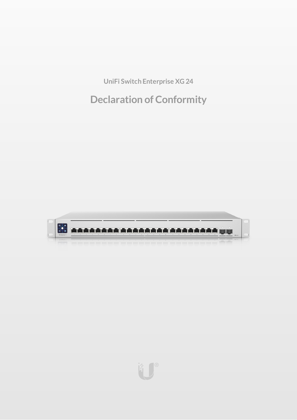**UniFi Switch Enterprise XG 24**

# **Declaration of Conformity**



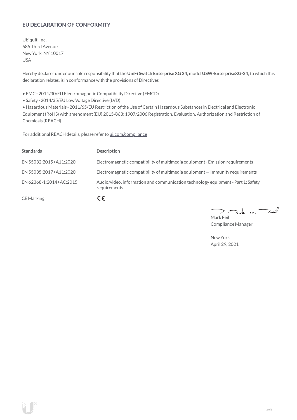# **EU DECLARATION OF CONFORMITY**

Ubiquiti Inc. 685 Third Avenue NewYork, NY 10017 USA

Hereby declares under our sole responsibility thatthe**UniFi Switch EnterpriseXG 24**, model **USW-EnterpriseXG-24**, to which this declaration relates, is in conformancewith the provisions of Directives

• EMC- 2014/30/EU Electromagnetic Compatibility Directive (EMCD)

• Safety - 2014/35/EU Low Voltage Directive (LVD)

• HazardousMaterials - 2011/65/EU Restriction oftheUse ofCertain Hazardous Substances in Electrical and Electronic Equipment(RoHS) with amendment(EU) 2015/863; 1907/2006 Registration, Evaluation, Authorization and Restriction of Chemicals (REACH)

For additional REACH details, please refer to [ui.com/compliance](https://www.ui.com/compliance/)

| <b>Standards</b>        | <b>Description</b>                                                                               |
|-------------------------|--------------------------------------------------------------------------------------------------|
| EN 55032:2015+A11:2020  | Electromagnetic compatibility of multimedia equipment - Emission requirements                    |
| EN 55035:2017+A11:2020  | Electromagnetic compatibility of multimedia equipment - Immunity requirements                    |
| EN 62368-1:2014+AC:2015 | Audio/video, information and communication technology equipment - Part 1: Safety<br>requirements |
| <b>CE</b> Marking       | CE                                                                                               |

 $k$  un  $\rightarrow$ 7  $\mathcal{L}$ Mark Feil

Compliance Manager

NewYork April 29, 2021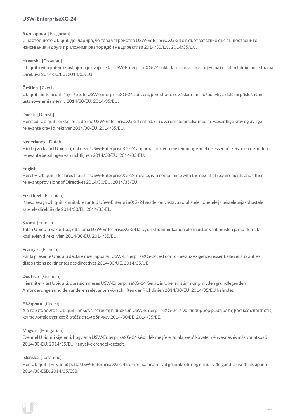# **USW-EnterpriseXG-24**

## **български** [Bulgarian]

С настоящото Ubiquiti декларира, че това устройство USW-EnterpriseXG-24 е в съответствие със съществените изисквания и други приложими разпоредби на Директиви 2014/30/ЕС, 2014/35/ЕС.

# **Hrvatski** [Croatian]

Ubiquiti ovim putem izjavljuje da je ovaj uređaj USW-EnterpriseXG-24 sukladan osnovnim zahtjevima i ostalim bitnim odredbama Direktiva 2014/30/EU, 2014/35/EU.

# **Čeština** [Czech]

Ubiquititímto prohlašuje, že toto USW-EnterpriseXG-24 zařízení, je ve shodě se základními požadavky a dalšími příslušnými ustanoveními směrnic 2014/30/EU, 2014/35/EU.

## **Dansk** [Danish]

Hermed, Ubiquiti, erklærer atdenneUSW-EnterpriseXG-24 enhed, er i overensstemmelse med de væsentlige krav og øvrige relevante krav i direktiver 2014/30/EU, 2014/35/EU.

#### **Nederlands** [Dutch]

Hierbij verklaartUbiquiti, datdezeUSW-EnterpriseXG-24 apparaat, in overeenstemming is metde essentiële eisen en de andere relevante bepalingen van richtlijnen 2014/30/EU, 2014/35/EU.

#### **English**

Hereby, Ubiquiti, declares that this USW-EnterpriseXG-24 device, is in compliance with the essential requirements and other relevantprovisions of Directives 2014/30/EU, 2014/35/EU.

#### **Eesti keel** [Estonian]

Käesolevaga Ubiquiti kinnitab, et antud USW-EnterpriseXG-24 seade, on vastavus olulistele nõuetele ja teistele asjakohastele sätetele direktiivide 2014/30/EL, 2014/35/EL,

#### **Suomi** [Finnish]

Täten Ubiquiti vakuuttaa, että tämä USW-EnterpriseXG-24 laite, on yhdenmukainen olennaisten vaatimusten ja muiden sitä koskevien direktiivien 2014/30/EU, 2014/35/EU.

# **Français** [French]

Par la présente Ubiquiti déclare que l'appareil USW-EnterpriseXG-24, est conforme aux exigences essentielles et aux autres dispositions pertinentes des directives 2014/30/UE, 2014/35/UE.

#### **Deutsch** [German]

HiermiterklärtUbiquiti, dass sich dieses USW-EnterpriseXG-24 Gerät, in Übereinstimmung mitden grundlegenden Anforderungen und den anderen relevanten Vorschriften der Richtlinien 2014/30/EU, 2014/35/EU befindet.

#### **Ελληνικά** [Greek]

Δια του παρόντος, Ubiquiti, δηλώνει ότι αυτή η συσκευή USW-EnterpriseXG-24, είναι σεσυµµόρφωση µε τις βασικές απαιτήσεις καιτις λοιπές σχετικές διατάξεις των οδηγιών 2014/30/EE, 2014/35/EE.

#### **Magyar** [Hungarian]

Ezennel Ubiquiti kijelenti, hogy ez a USW-EnterpriseXG-24 készülék megfelel az alapvető követelményeknek és más vonatkozó 2014/30/EU, 2014/35/EU irányelvek rendelkezéseit.

#### **Íslenska** [Icelandic]

Hér, Ubiquiti, því yfir að þetta USW-EnterpriseXG-24 tæki er í samræmi við grunnkröfur og önnur viðeigandi ákvæði tilskipana 2014/30/ESB, 2014/35/ESB.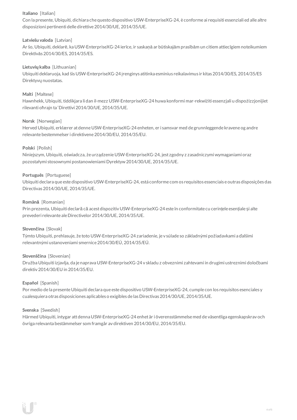# **Italiano** [Italian]

Con la presente, Ubiquiti, dichiara che questo dispositivo USW-EnterpriseXG-24, è conforme ai requisiti essenziali ed alle altre disposizioni pertinenti delle direttive2014/30/UE, 2014/35/UE.

# **Latviešu valoda** [Latvian]

Ar šo, Ubiquiti, deklarē, ka USW-EnterpriseXG-24 ierīce, ir saskaņā ar būtiskajām prasībām un citiem attiecīgiem noteikumiem Direktīvās 2014/30/ES, 2014/35/ES.

# **Lietuviųkalba** [Lithuanian]

Ubiquiti deklaruoja, kad šis USW-EnterpriseXG-24 įrenginys atitinka esminius reikalavimus ir kitas 2014/30/ES, 2014/35/ES Direktyvų nuostatas.

# **Malti** [Maltese]

Hawnhekk, Ubiquiti, tiddikjara li dan il-mezz USW-EnterpriseXG-24 huwa konformi mar-rekwiżiti essenzjali u dispożizzjonijiet rilevanti oħrajn ta 'Direttivi 2014/30/UE, 2014/35/UE.

## **Norsk** [Norwegian]

Herved Ubiquiti, erklærer atdenneUSW-EnterpriseXG-24 enheten, er i samsvar med de grunnleggende kravene og andre relevante bestemmelser i direktivene2014/30/EU, 2014/35/EU.

# **Polski** [Polish]

Niniejszym, Ubiquiti, oświadcza, że urządzenieUSW-EnterpriseXG-24, jest zgodny z zasadniczymi wymaganiami oraz pozostałymi stosownymi postanowieniami Dyrektyw2014/30/UE, 2014/35/UE.

## **Português** [Portuguese]

Ubiquiti declara que este dispositivo USW-EnterpriseXG-24, está conforme com os requisitos essenciais e outras disposições das Directivas 2014/30/UE, 2014/35/UE.

## **Română** [Romanian]

Prin prezenta, Ubiquiti declară că acestdispozitiv USW-EnterpriseXG-24 este în conformitate cu cerințele esențiale și alte prevederi relevante aleDirectivelor 2014/30/UE, 2014/35/UE.

#### **Slovenčina** [Slovak]

Týmto Ubiquiti, prehlasuje, že toto USW-EnterpriseXG-24 zariadenie, je v súlade so základnými požiadavkami a ďalšími relevantnými ustanoveniami smernice2014/30/EÚ, 2014/35/EÚ.

#### **Slovenščina** [Slovenian]

Družba Ubiquiti izjavlja, da je naprava USW-EnterpriseXG-24 v skladu z obveznimi zahtevami in drugimi ustreznimi določbami direktiv 2014/30/EU in 2014/35/EU.

#### **Español** [Spanish]

Por medio de la presente Ubiquiti declara que este dispositivo USW-EnterpriseXG-24, cumple con los requisitos esenciales y cualesquiera otras disposiciones aplicables o exigibles de lasDirectivas 2014/30/UE, 2014/35/UE.

#### **Svenska** [Swedish]

Härmed Ubiquiti, intygar attdenna USW-EnterpriseXG-24 enhet är i överensstämmelse med de väsentliga egenskapskrav och övriga relevanta bestämmelser som framgår av direktiven 2014/30/EU, 2014/35/EU.